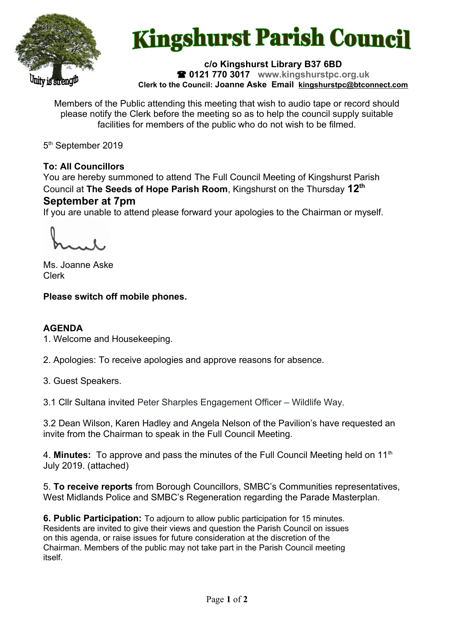

# **Kingshurst Parish Council**

#### **c/o Kingshurst Library B37 6BD 0121 770 3017 www.kingshurstpc.org.uk Clerk to the Council: Joanne Aske Email [kingshurstpc@btconnect.com](mailto:kingshurstpc@btconnect.com)**

Members of the Public attending this meeting that wish to audio tape or record should please notify the Clerk before the meeting so as to help the council supply suitable facilities for members of the public who do not wish to be filmed.

5<sup>th</sup> September 2019

# **To: All Councillors**

You are hereby summoned to attend The Full Council Meeting of Kingshurst Parish Council at **The Seeds of Hope Parish Room**, Kingshurst on the Thursday **12th September at 7pm**

If you are unable to attend please forward your apologies to the Chairman or myself.

Ms. Joanne Aske Clerk

# **Please switch off mobile phones.**

## **AGENDA**

1. Welcome and Housekeeping.

2. Apologies: To receive apologies and approve reasons for absence.

3. Guest Speakers.

3.1 Cllr Sultana invited Peter Sharples Engagement Officer – Wildlife Way.

3.2 Dean Wilson, Karen Hadley and Angela Nelson of the Pavilion's have requested an invite from the Chairman to speak in the Full Council Meeting.

4. **Minutes:** To approve and pass the minutes of the Full Council Meeting held on 11<sup>th</sup> July 2019. (attached)

5. **To receive reports** from Borough Councillors, SMBC's Communities representatives, West Midlands Police and SMBC's Regeneration regarding the Parade Masterplan.

**6. Public Participation:** To adjourn to allow public participation for 15 minutes. Residents are invited to give their views and question the Parish Council on issues on this agenda, or raise issues for future consideration at the discretion of the Chairman. Members of the public may not take part in the Parish Council meeting itself.